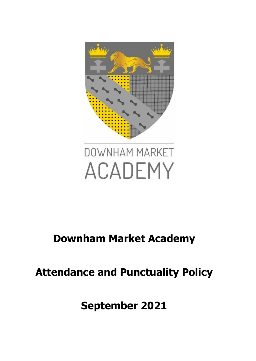

# DOWNHAM MARKET ACADEMY

### **Downham Market Academy**

## **Attendance and Punctuality Policy**

**September 2021**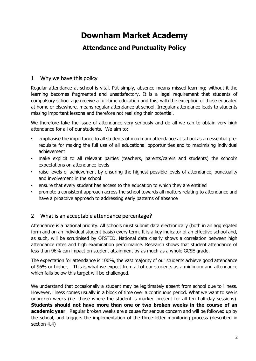### **Downham Market Academy**

#### **Attendance and Punctuality Policy**

#### 1 Why we have this policy

Regular attendance at school is vital. Put simply, absence means missed learning; without it the learning becomes fragmented and unsatisfactory. It is a legal requirement that students of compulsory school age receive a full-time education and this, with the exception of those educated at home or elsewhere, means regular attendance at school. Irregular attendance leads to students missing important lessons and therefore not realising their potential.

We therefore take the issue of attendance very seriously and do all we can to obtain very high attendance for all of our students. We aim to:

- emphasise the importance to all students of maximum attendance at school as an essential prerequisite for making the full use of all educational opportunities and to maximising individual achievement
- make explicit to all relevant parties (teachers, parents/carers and students) the school's expectations on attendance levels
- raise levels of achievement by ensuring the highest possible levels of attendance, punctuality and involvement in the school
- ensure that every student has access to the education to which they are entitled
- promote a consistent approach across the school towards all matters relating to attendance and have a proactive approach to addressing early patterns of absence

#### 2 What is an acceptable attendance percentage?

Attendance is a national priority. All schools must submit data electronically (both in an aggregated form and on an individual student basis) every term. It is a key indicator of an effective school and, as such, will be scrutinised by OFSTED. National data clearly shows a correlation between high attendance rates and high examination performance. Research shows that student attendance of less than 96% can impact on student attainment by as much as a whole GCSE grade.

The expectation for attendance is 100%, the vast majority of our students achieve good attendance of 96% or higher, . This is what we expect from all of our students as a minimum and attendance which falls below this target will be challenged.

We understand that occasionally a student may be legitimately absent from school due to illness. However, illness comes usually in a block of time over a continuous period. What we want to see is unbroken weeks (i.e. those where the student is marked present for all ten half-day sessions). **Students should not have more than one or two broken weeks in the course of an academic year**. Regular broken weeks are a cause for serious concern and will be followed up by the school, and triggers the implementation of the three-letter monitoring process (described in section 4.4)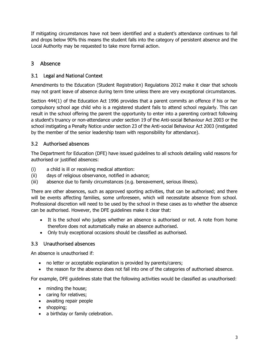If mitigating circumstances have not been identified and a student's attendance continues to fall and drops below 90% this means the student falls into the category of persistent absence and the Local Authority may be requested to take more formal action.

#### 3 Absence

#### 3.1 Legal and National Context

Amendments to the Education (Student Registration) Regulations 2012 make it clear that schools may not grant leave of absence during term time unless there are very exceptional circumstances.

Section 444(1) of the Education Act 1996 provides that a parent commits an offence if his or her compulsory school age child who is a registered student fails to attend school regularly. This can result in the school offering the parent the opportunity to enter into a parenting contract following a student's truancy or non-attendance under section 19 of the Anti-social Behaviour Act 2003 or the school instigating a Penalty Notice under section 23 of the Anti-social Behaviour Act 2003 (instigated by the member of the senior leadership team with responsibility for attendance).

#### 3.2 Authorised absences

The Department for Education (DFE) have issued guidelines to all schools detailing valid reasons for authorised or justified absences:

- (i) a child is ill or receiving medical attention:
- (ii) days of religious observance, notified in advance;
- (iii) absence due to family circumstances (e.g. bereavement, serious illness).

There are other absences, such as approved sporting activities, that can be authorised; and there will be events affecting families, some unforeseen, which will necessitate absence from school. Professional discretion will need to be used by the school in these cases as to whether the absence can be authorised. However, the DFE guidelines make it clear that:

- It is the school who judges whether an absence is authorised or not. A note from home therefore does not automatically make an absence authorised.
- Only truly exceptional occasions should be classified as authorised.

#### 3.3 Unauthorised absences

An absence is unauthorised if:

- no letter or acceptable explanation is provided by parents/carers;
- the reason for the absence does not fall into one of the categories of authorised absence.

For example, DFE guidelines state that the following activities would be classified as unauthorised:

- minding the house;
- caring for relatives;
- awaiting repair people
- shopping;
- a birthday or family celebration.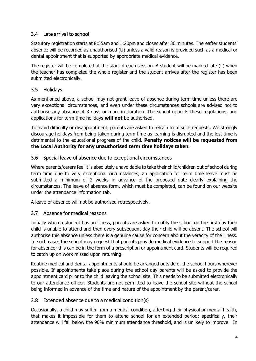#### 3.4 Late arrival to school

Statutory registration starts at 8:55am and 1:20pm and closes after 30 minutes. Thereafter students' absence will be recorded as unauthorised (U) unless a valid reason is provided such as a medical or dental appointment that is supported by appropriate medical evidence.

The register will be completed at the start of each session. A student will be marked late (L) when the teacher has completed the whole register and the student arrives after the register has been submitted electronically.

#### 3.5 Holidays

As mentioned above, a school may not grant leave of absence during term time unless there are very exceptional circumstances, and even under these circumstances schools are advised not to authorise any absence of 3 days or more in duration. The school upholds these regulations, and applications for term time holidays **will not** be authorised.

To avoid difficulty or disappointment, parents are asked to refrain from such requests. We strongly discourage holidays from being taken during term time as learning is disrupted and the lost time is detrimental to the educational progress of the child. **Penalty notices will be requested from the Local Authority for any unauthorised term time holidays taken.**

#### 3.6 Special leave of absence due to exceptional circumstances

Where parents/carers feel it is absolutely unavoidable to take their child/children out of school during term time due to very exceptional circumstances, an application for term time leave must be submitted a minimum of 2 weeks in advance of the proposed date clearly explaining the circumstances. The leave of absence form, which must be completed, can be found on our website under the attendance information tab.

A leave of absence will not be authorised retrospectively.

#### 3.7 Absence for medical reasons

Initially when a student has an illness, parents are asked to notify the school on the first day their child is unable to attend and then every subsequent day their child will be absent. The school will authorise this absence unless there is a genuine cause for concern about the veracity of the illness. In such cases the school may request that parents provide medical evidence to support the reason for absence; this can be in the form of a prescription or appointment card. Students will be required to catch up on work missed upon returning.

Routine medical and dental appointments should be arranged outside of the school hours wherever possible. If appointments take place during the school day parents will be asked to provide the appointment card prior to the child leaving the school site. This needs to be submitted electronically to our attendance officer. Students are not permitted to leave the school site without the school being informed in advance of the time and nature of the appointment by the parent/carer.

#### 3.8 Extended absence due to a medical condition(s)

Occasionally, a child may suffer from a medical condition, affecting their physical or mental health, that makes it impossible for them to attend school for an extended period; specifically, their attendance will fall below the 90% minimum attendance threshold, and is unlikely to improve. In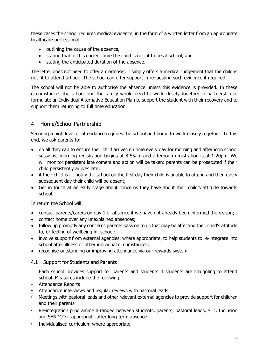these cases the school requires medical evidence, in the form of a written letter from an appropriate healthcare professional

- outlining the cause of the absence,
- stating that at this current time the child is not fit to be at school, and
- stating the anticipated duration of the absence.

The letter does not need to offer a diagnosis; it simply offers a medical judgement that the child is not fit to attend school. The school can offer support in requesting such evidence if required.

The school will not be able to authorise the absence unless this evidence is provided. In these circumstances the school and the family would need to work closely together in partnership to formulate an Individual Alternative Education Plan to support the student with their recovery and to support them returning to full time education.

#### 4 Home/School Partnership

Securing a high level of attendance requires the school and home to work closely together. To this end, we ask parents to:

- do all they can to ensure their child arrives on time every day for morning and afternoon school sessions; morning registration begins at 8:55am and afternoon registration is at 1:20pm. We will monitor persistent late comers and action will be taken: parents can be prosecuted if their child persistently arrives late;
- if their child is ill, notify the school on the first day their child is unable to attend and then every subsequent day their child will be absent;
- Get in touch at an early stage about concerns they have about their child's attitude towards school.

In return the School will:

- contact parents/carers on day 1 of absence if we have not already been informed the reason;
- contact home over any unexplained absences;
- follow up promptly any concerns parents pass on to us that may be affecting their child's attitude to, or feeling of wellbeing in, school;
- involve support from external agencies, where appropriate, to help students to re-integrate into school after illness or other individual circumstances;
- recognise outstanding or improving attendance via our rewards system

#### 4.1 Support for Students and Parents

Each school provides support for parents and students if students are struggling to attend school. Measures include the following:

- Attendance Reports
- Attendance interviews and regular reviews with pastoral leads
- Meetings with pastoral leads and other relevant external agencies to provide support for children and their parents
- Re-integration programme arranged between students, parents, pastoral leads, SLT, Inclusion and SENDCO if appropriate after long-term absence
- Individualised curriculum where appropriate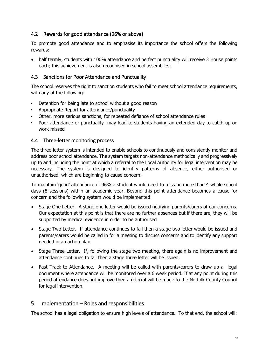#### 4.2 Rewards for good attendance (96% or above)

To promote good attendance and to emphasise its importance the school offers the following rewards:

• half termly, students with 100% attendance and perfect punctuality will receive 3 House points each; this achievement is also recognised in school assemblies;

#### 4.3 Sanctions for Poor Attendance and Punctuality

The school reserves the right to sanction students who fail to meet school attendance requirements, with any of the following:

- Detention for being late to school without a good reason
- Appropriate Report for attendance/punctuality
- Other, more serious sanctions, for repeated defiance of school attendance rules
- Poor attendance or punctuality may lead to students having an extended day to catch up on work missed

#### 4.4 Three-letter monitoring process

The three-letter system is intended to enable schools to continuously and consistently monitor and address poor school attendance. The system targets non-attendance methodically and progressively up to and including the point at which a referral to the Local Authority for legal intervention may be necessary. The system is designed to identify patterns of absence, either authorised or unauthorised, which are beginning to cause concern.

To maintain 'good' attendance of 96% a student would need to miss no more than 4 whole school days (8 sessions) within an academic year. Beyond this point attendance becomes a cause for concern and the following system would be implemented:

- Stage One Letter. A stage one letter would be issued notifying parents/carers of our concerns. Our expectation at this point is that there are no further absences but if there are, they will be supported by medical evidence in order to be authorised
- Stage Two Letter. If attendance continues to fall then a stage two letter would be issued and parents/carers would be called in for a meeting to discuss concerns and to identify any support needed in an action plan
- Stage Three Letter. If, following the stage two meeting, there again is no improvement and attendance continues to fall then a stage three letter will be issued.
- Fast Track to Attendance. A meeting will be called with parents/carers to draw up a legal document where attendance will be monitored over a 6 week period. If at any point during this period attendance does not improve then a referral will be made to the Norfolk County Council for legal intervention.

#### 5 Implementation – Roles and responsibilities

The school has a legal obligation to ensure high levels of attendance. To that end, the school will: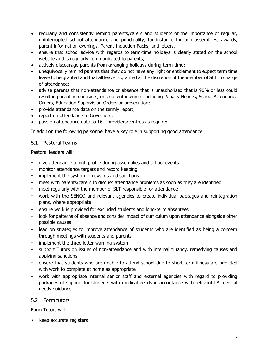- regularly and consistently remind parents/carers and students of the importance of regular, uninterrupted school attendance and punctuality, for instance through assemblies, awards, parent information evenings, Parent Induction Packs, and letters.
- ensure that school advice with regards to term-time holidays is clearly stated on the school website and is regularly communicated to parents;
- actively discourage parents from arranging holidays during term-time;
- unequivocally remind parents that they do not have any right or entitlement to expect term time leave to be granted and that all leave is granted at the discretion of the member of SLT in charge of attendance;
- advise parents that non-attendance or absence that is unauthorised that is 90% or less could result in parenting contracts, or legal enforcement including Penalty Notices, School Attendance Orders, Education Supervision Orders or prosecution;
- provide attendance data on the termly report;
- report on attendance to Governors;
- pass on attendance data to 16+ providers/centres as required.

In addition the following personnel have a key role in supporting good attendance:

#### 5.1 Pastoral Teams

Pastoral leaders will:

- give attendance a high profile during assemblies and school events
- monitor attendance targets and record keeping
- implement the system of rewards and sanctions
- meet with parents/carers to discuss attendance problems as soon as they are identified
- meet regularly with the member of SLT responsible for attendance
- work with the SENCO and relevant agencies to create individual packages and reintegration plans, where appropriate
- ensure work is provided for excluded students and long-term absentees
- look for patterns of absence and consider impact of curriculum upon attendance alongside other possible causes
- lead on strategies to improve attendance of students who are identified as being a concern through meetings with students and parents
- implement the three letter warning system
- support Tutors on issues of non-attendance and with internal truancy, remedying causes and applying sanctions
- ensure that students who are unable to attend school due to short-term illness are provided with work to complete at home as appropriate
- work with appropriate internal senior staff and external agencies with regard to providing packages of support for students with medical needs in accordance with relevant LA medical needs guidance

#### 5.2 Form tutors

Form Tutors will:

• keep accurate registers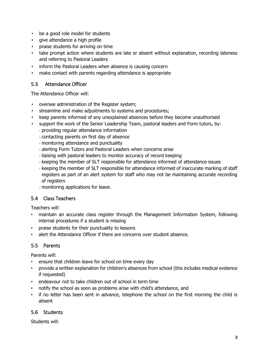- be a good role model for students
- give attendance a high profile
- praise students for arriving on time
- take prompt action where students are late or absent without explanation, recording lateness and referring to Pastoral Leaders
- inform the Pastoral Leaders when absence is causing concern
- make contact with parents regarding attendance is appropriate

#### 5.3 Attendance Officer

The Attendance Officer will:

- oversee administration of the Register system;
- streamline and make adjustments to systems and procedures;
- keep parents informed of any unexplained absences before they become unauthorised
- support the work of the Senior Leadership Team, pastoral leaders and Form tutors, by:
	- providing regular attendance information
	- contacting parents on first day of absence
	- monitoring attendance and punctuality
	- alerting Form Tutors and Pastoral Leaders when concerns arise
	- liaising with pastoral leaders to monitor accuracy of record keeping
	- keeping the member of SLT responsible for attendance informed of attendance issues
	- keeping the member of SLT responsible for attendance informed of inaccurate marking of staff registers as part of an alert system for staff who may not be maintaining accurate recording of registers
	- monitoring applications for leave.

#### 5.4 Class Teachers

Teachers will:

- maintain an accurate class register through the Management Information System, following internal procedures if a student is missing
- praise students for their punctuality to lessons
- alert the Attendance Officer if there are concerns over student absence.

#### 5.5 Parents

Parents will:

- ensure that children leave for school on time every day
- provide a written explanation for children's absences from school (this includes medical evidence if requested)
- endeavour not to take children out of school in term time
- notify the school as soon as problems arise with child's attendance, and
- if no letter has been sent in advance, telephone the school on the first morning the child is absent

#### 5.6 Students

Students will: